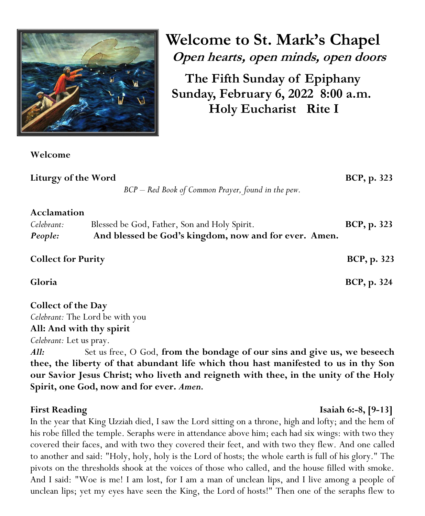

**Welcome** 

**Welcome to St. Mark's Chapel Open hearts, open minds, open doors**

**The Fifth Sunday of Epiphany Sunday, February 6, 2022 8:00 a.m. Holy Eucharist Rite I**

| Liturgy of the Word                  | BCP - Red Book of Common Prayer, found in the pew.                                                    | BCP, p. 323         |
|--------------------------------------|-------------------------------------------------------------------------------------------------------|---------------------|
| Acclamation<br>Celebrant:<br>People: | Blessed be God, Father, Son and Holy Spirit.<br>And blessed be God's kingdom, now and for ever. Amen. | <b>BCP</b> , p. 323 |
| <b>Collect for Purity</b>            |                                                                                                       | BCP, p. 323         |
| Gloria                               |                                                                                                       | BCP, p. 324         |
| <b>Collect of the Day</b>            | Celebrant: The Lord be with you                                                                       |                     |
| All: And with thy spirit             |                                                                                                       |                     |

*Celebrant:* Let us pray.

*All:*Set us free, O God, **from the bondage of our sins and give us, we beseech thee, the liberty of that abundant life which thou hast manifested to us in thy Son our Savior Jesus Christ; who liveth and reigneth with thee, in the unity of the Holy Spirit, one God, now and for ever.** *Amen.*

# **First Reading**  Isaiah 6:-8, [9-13]

In the year that King Uzziah died, I saw the Lord sitting on a throne, high and lofty; and the hem of his robe filled the temple. Seraphs were in attendance above him; each had six wings: with two they covered their faces, and with two they covered their feet, and with two they flew. And one called to another and said: "Holy, holy, holy is the Lord of hosts; the whole earth is full of his glory." The pivots on the thresholds shook at the voices of those who called, and the house filled with smoke. And I said: "Woe is me! I am lost, for I am a man of unclean lips, and I live among a people of unclean lips; yet my eyes have seen the King, the Lord of hosts!" Then one of the seraphs flew to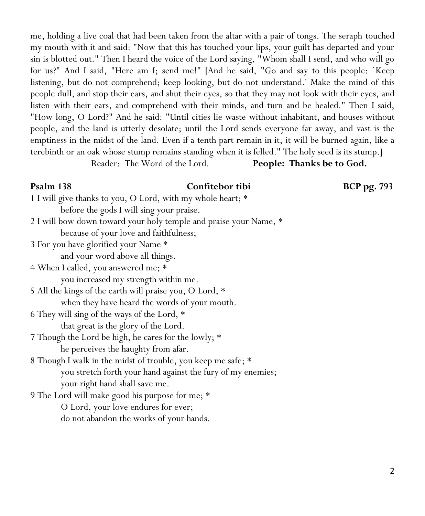me, holding a live coal that had been taken from the altar with a pair of tongs. The seraph touched my mouth with it and said: "Now that this has touched your lips, your guilt has departed and your sin is blotted out." Then I heard the voice of the Lord saying, "Whom shall I send, and who will go for us?" And I said, "Here am I; send me!" [And he said, "Go and say to this people: `Keep listening, but do not comprehend; keep looking, but do not understand.' Make the mind of this people dull, and stop their ears, and shut their eyes, so that they may not look with their eyes, and listen with their ears, and comprehend with their minds, and turn and be healed." Then I said, "How long, O Lord?" And he said: "Until cities lie waste without inhabitant, and houses without people, and the land is utterly desolate; until the Lord sends everyone far away, and vast is the emptiness in the midst of the land. Even if a tenth part remain in it, it will be burned again, like a terebinth or an oak whose stump remains standing when it is felled." The holy seed is its stump.] Reader: The Word of the Lord. **People: Thanks be to God.**

### **Psalm 138 Confitebor tibi BCP pg. 793**

1 I will give thanks to you, O Lord, with my whole heart; \* before the gods I will sing your praise. 2 I will bow down toward your holy temple and praise your Name, \*

because of your love and faithfulness;

3 For you have glorified your Name \*

and your word above all things.

4 When I called, you answered me; \* you increased my strength within me.

5 All the kings of the earth will praise you, O Lord, \* when they have heard the words of your mouth.

- 6 They will sing of the ways of the Lord, \* that great is the glory of the Lord.
- 7 Though the Lord be high, he cares for the lowly; \* he perceives the haughty from afar.

8 Though I walk in the midst of trouble, you keep me safe; \* you stretch forth your hand against the fury of my enemies; your right hand shall save me.

9 The Lord will make good his purpose for me; \* O Lord, your love endures for ever; do not abandon the works of your hands.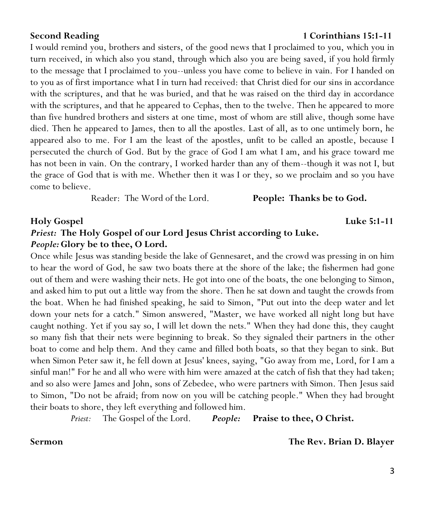I would remind you, brothers and sisters, of the good news that I proclaimed to you, which you in turn received, in which also you stand, through which also you are being saved, if you hold firmly to the message that I proclaimed to you--unless you have come to believe in vain. For I handed on to you as of first importance what I in turn had received: that Christ died for our sins in accordance with the scriptures, and that he was buried, and that he was raised on the third day in accordance with the scriptures, and that he appeared to Cephas, then to the twelve. Then he appeared to more than five hundred brothers and sisters at one time, most of whom are still alive, though some have died. Then he appeared to James, then to all the apostles. Last of all, as to one untimely born, he appeared also to me. For I am the least of the apostles, unfit to be called an apostle, because I persecuted the church of God. But by the grace of God I am what I am, and his grace toward me has not been in vain. On the contrary, I worked harder than any of them--though it was not I, but the grace of God that is with me. Whether then it was I or they, so we proclaim and so you have come to believe.

Reader: The Word of the Lord. **People: Thanks be to God.**

# **Holy Gospel Luke 5:1-11** *Priest:* **The Holy Gospel of our Lord Jesus Christ according to Luke.**  *People:***Glory be to thee, O Lord.**

Once while Jesus was standing beside the lake of Gennesaret, and the crowd was pressing in on him to hear the word of God, he saw two boats there at the shore of the lake; the fishermen had gone out of them and were washing their nets. He got into one of the boats, the one belonging to Simon, and asked him to put out a little way from the shore. Then he sat down and taught the crowds from the boat. When he had finished speaking, he said to Simon, "Put out into the deep water and let down your nets for a catch." Simon answered, "Master, we have worked all night long but have caught nothing. Yet if you say so, I will let down the nets." When they had done this, they caught so many fish that their nets were beginning to break. So they signaled their partners in the other boat to come and help them. And they came and filled both boats, so that they began to sink. But when Simon Peter saw it, he fell down at Jesus' knees, saying, "Go away from me, Lord, for I am a sinful man!" For he and all who were with him were amazed at the catch of fish that they had taken; and so also were James and John, sons of Zebedee, who were partners with Simon. Then Jesus said to Simon, "Do not be afraid; from now on you will be catching people." When they had brought their boats to shore, they left everything and followed him.

*Priest:* The Gospel of the Lord. *People:* **Praise to thee, O Christ.**

**Sermon The Rev. Brian D. Blayer**

### **Second Reading 1 Corinthians 15:1-11**